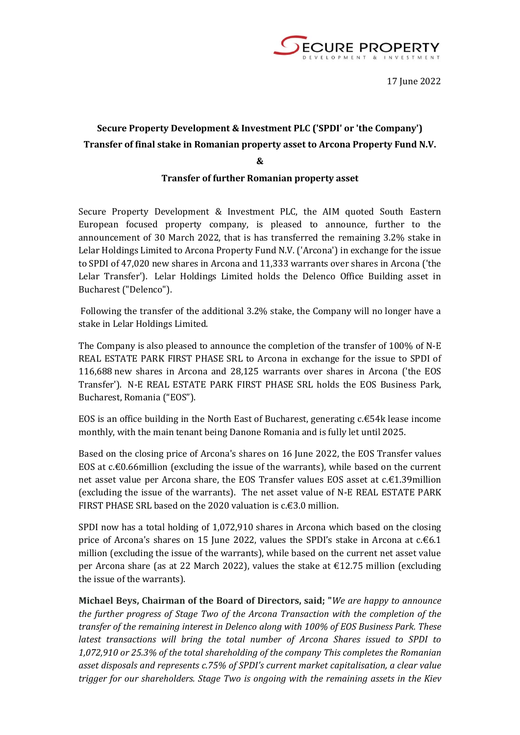

## **Secure Property Development & Investment PLC ('SPDI' or 'the Company') Transfer of final stake in Romanian property asset to Arcona Property Fund N.V.**

**&**

## **Transfer of further Romanian property asset**

Secure Property Development & Investment PLC, the AIM quoted South Eastern European focused property company, is pleased to announce, further to the announcement of 30 March 2022, that is has transferred the remaining 3.2% stake in Lelar Holdings Limited to Arcona Property Fund N.V. ('Arcona') in exchange for the issue to SPDI of 47,020 new shares in Arcona and 11,333 warrants over shares in Arcona ('the Lelar Transfer'). Lelar Holdings Limited holds the Delenco Office Building asset in Bucharest ("Delenco").

Following the transfer of the additional 3.2% stake, the Company will no longer have a stake in Lelar Holdings Limited.

The Company is also pleased to announce the completion of the transfer of 100% of N-E REAL ESTATE PARK FIRST PHASE SRL to Arcona in exchange for the issue to SPDI of 116,688 new shares in Arcona and 28,125 warrants over shares in Arcona ('the EOS Transfer'). N-E REAL ESTATE PARK FIRST PHASE SRL holds the EOS Business Park, Bucharest, Romania ("EOS").

EOS is an office building in the North East of Bucharest, generating c.€54k lease income monthly, with the main tenant being Danone Romania and is fully let until 2025.

Based on the closing price of Arcona's shares on 16 June 2022, the EOS Transfer values EOS at c.€0.66million (excluding the issue of the warrants), while based on the current net asset value per Arcona share, the EOS Transfer values EOS asset at c.€1.39million (excluding the issue of the warrants). The net asset value of N-E REAL ESTATE PARK FIRST PHASE SRL based on the 2020 valuation is  $c \notin 3.0$  million.

SPDI now has a total holding of 1,072,910 shares in Arcona which based on the closing price of Arcona's shares on 15 June 2022, values the SPDI's stake in Arcona at  $c.\epsilon 6.1$ million (excluding the issue of the warrants), while based on the current net asset value per Arcona share (as at 22 March 2022), values the stake at €12.75 million (excluding the issue of the warrants).

**Michael Beys, Chairman of the Board of Directors, said; "***We are happy to announce the further progress of Stage Two of the Arcona Transaction with the completion of the transfer of the remaining interest in Delenco along with 100% of EOS Business Park. These latest transactions will bring the total number of Arcona Shares issued to SPDI to 1,072,910 or 25.3% of the total shareholding of the company This completes the Romanian asset disposals and represents c.75% of SPDI's current market capitalisation, a clear value trigger for our shareholders. Stage Two is ongoing with the remaining assets in the Kiev*